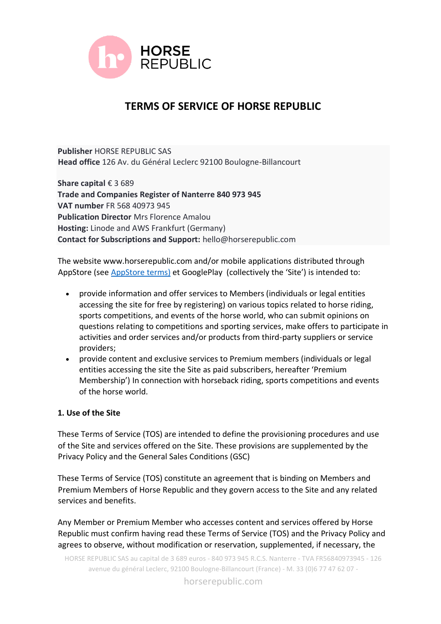

# **TERMS OF SERVICE OF HORSE REPUBLIC**

**Publisher** HORSE REPUBLIC SAS **Head office** 126 Av. du Général Leclerc 92100 Boulogne-Billancourt

**Share capital** € 3 689 **Trade and Companies Register of Nanterre 840 973 945 VAT number** FR 568 40973 945 **Publication Director** Mrs Florence Amalou **Hosting:** Linode and AWS Frankfurt (Germany) **Contact for Subscriptions and Support:** hello@horserepublic.com

The website www.horserepublic.com and/or mobile applications distributed through AppStore (see [AppStore terms\)](https://www.apple.com/legal/internet-services/itunes/dev/stdeula/) et GooglePlay (collectively the 'Site') is intended to:

- provide information and offer services to Members (individuals or legal entities accessing the site for free by registering) on various topics related to horse riding, sports competitions, and events of the horse world, who can submit opinions on questions relating to competitions and sporting services, make offers to participate in activities and order services and/or products from third-party suppliers or service providers;
- provide content and exclusive services to Premium members (individuals or legal entities accessing the site the Site as paid subscribers, hereafter 'Premium Membership') In connection with horseback riding, sports competitions and events of the horse world.

# **1. Use of the Site**

These Terms of Service (TOS) are intended to define the provisioning procedures and use of the Site and services offered on the Site. These provisions are supplemented by the Privacy Policy and the General Sales Conditions (GSC)

These Terms of Service (TOS) constitute an agreement that is binding on Members and Premium Members of Horse Republic and they govern access to the Site and any related services and benefits.

Any Member or Premium Member who accesses content and services offered by Horse Republic must confirm having read these Terms of Service (TOS) and the Privacy Policy and agrees to observe, without modification or reservation, supplemented, if necessary, the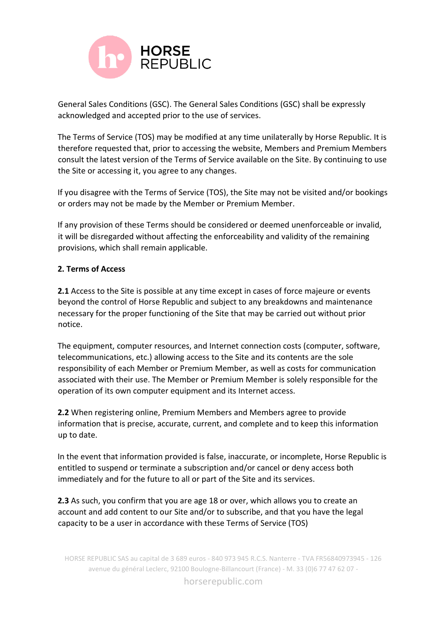

General Sales Conditions (GSC). The General Sales Conditions (GSC) shall be expressly acknowledged and accepted prior to the use of services.

The Terms of Service (TOS) may be modified at any time unilaterally by Horse Republic. It is therefore requested that, prior to accessing the website, Members and Premium Members consult the latest version of the Terms of Service available on the Site. By continuing to use the Site or accessing it, you agree to any changes.

If you disagree with the Terms of Service (TOS), the Site may not be visited and/or bookings or orders may not be made by the Member or Premium Member.

If any provision of these Terms should be considered or deemed unenforceable or invalid, it will be disregarded without affecting the enforceability and validity of the remaining provisions, which shall remain applicable.

# **2. Terms of Access**

**2.1** Access to the Site is possible at any time except in cases of force majeure or events beyond the control of Horse Republic and subject to any breakdowns and maintenance necessary for the proper functioning of the Site that may be carried out without prior notice.

The equipment, computer resources, and Internet connection costs (computer, software, telecommunications, etc.) allowing access to the Site and its contents are the sole responsibility of each Member or Premium Member, as well as costs for communication associated with their use. The Member or Premium Member is solely responsible for the operation of its own computer equipment and its Internet access.

**2.2** When registering online, Premium Members and Members agree to provide information that is precise, accurate, current, and complete and to keep this information up to date.

In the event that information provided is false, inaccurate, or incomplete, Horse Republic is entitled to suspend or terminate a subscription and/or cancel or deny access both immediately and for the future to all or part of the Site and its services.

**2.3** As such, you confirm that you are age 18 or over, which allows you to create an account and add content to our Site and/or to subscribe, and that you have the legal capacity to be a user in accordance with these Terms of Service (TOS)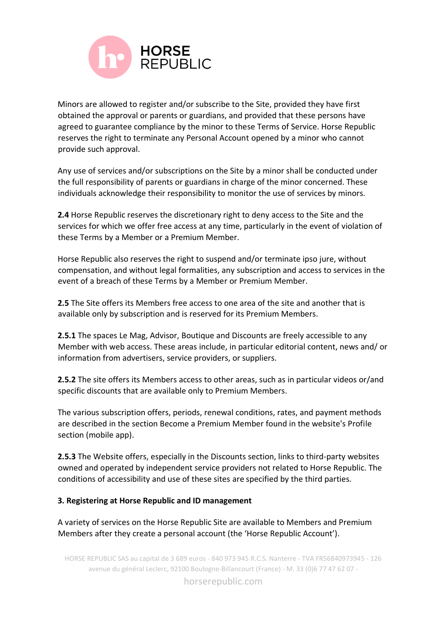

Minors are allowed to register and/or subscribe to the Site, provided they have first obtained the approval or parents or guardians, and provided that these persons have agreed to guarantee compliance by the minor to these Terms of Service. Horse Republic reserves the right to terminate any Personal Account opened by a minor who cannot provide such approval.

Any use of services and/or subscriptions on the Site by a minor shall be conducted under the full responsibility of parents or guardians in charge of the minor concerned. These individuals acknowledge their responsibility to monitor the use of services by minors.

**2.4** Horse Republic reserves the discretionary right to deny access to the Site and the services for which we offer free access at any time, particularly in the event of violation of these Terms by a Member or a Premium Member.

Horse Republic also reserves the right to suspend and/or terminate ipso jure, without compensation, and without legal formalities, any subscription and access to services in the event of a breach of these Terms by a Member or Premium Member.

**2.5** The Site offers its Members free access to one area of the site and another that is available only by subscription and is reserved for its Premium Members.

**2.5.1** The spaces Le Mag, Advisor, Boutique and Discounts are freely accessible to any Member with web access. These areas include, in particular editorial content, news and/ or information from advertisers, service providers, or suppliers.

**2.5.2** The site offers its Members access to other areas, such as in particular videos or/and specific discounts that are available only to Premium Members.

The various subscription offers, periods, renewal conditions, rates, and payment methods are described in the section Become a Premium Member found in the website's Profile section (mobile app).

**2.5.3** The Website offers, especially in the Discounts section, links to third-party websites owned and operated by independent service providers not related to Horse Republic. The conditions of accessibility and use of these sites are specified by the third parties.

# **3. Registering at Horse Republic and ID management**

A variety of services on the Horse Republic Site are available to Members and Premium Members after they create a personal account (the 'Horse Republic Account').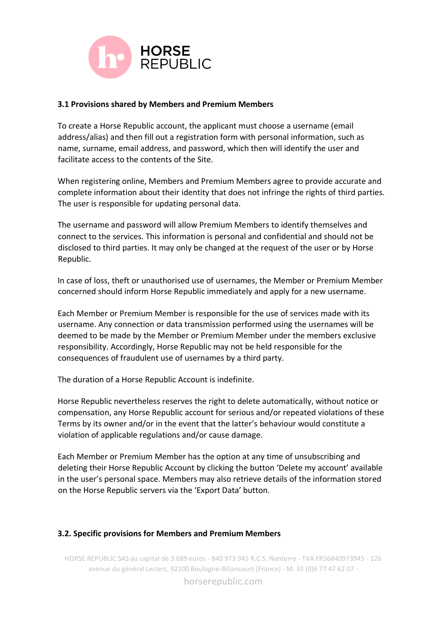

#### **3.1 Provisions shared by Members and Premium Members**

To create a Horse Republic account, the applicant must choose a username (email address/alias) and then fill out a registration form with personal information, such as name, surname, email address, and password, which then will identify the user and facilitate access to the contents of the Site.

When registering online, Members and Premium Members agree to provide accurate and complete information about their identity that does not infringe the rights of third parties. The user is responsible for updating personal data.

The username and password will allow Premium Members to identify themselves and connect to the services. This information is personal and confidential and should not be disclosed to third parties. It may only be changed at the request of the user or by Horse Republic.

In case of loss, theft or unauthorised use of usernames, the Member or Premium Member concerned should inform Horse Republic immediately and apply for a new username.

Each Member or Premium Member is responsible for the use of services made with its username. Any connection or data transmission performed using the usernames will be deemed to be made by the Member or Premium Member under the members exclusive responsibility. Accordingly, Horse Republic may not be held responsible for the consequences of fraudulent use of usernames by a third party.

The duration of a Horse Republic Account is indefinite.

Horse Republic nevertheless reserves the right to delete automatically, without notice or compensation, any Horse Republic account for serious and/or repeated violations of these Terms by its owner and/or in the event that the latter's behaviour would constitute a violation of applicable regulations and/or cause damage.

Each Member or Premium Member has the option at any time of unsubscribing and deleting their Horse Republic Account by clicking the button 'Delete my account' available in the user's personal space. Members may also retrieve details of the information stored on the Horse Republic servers via the 'Export Data' button.

# **3.2. Specific provisions for Members and Premium Members**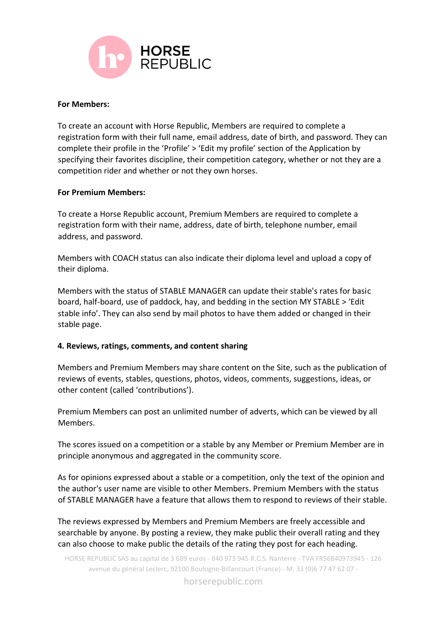

#### **For Members:**

To create an account with Horse Republic, Members are required to complete a registration form with their full name, email address, date of birth, and password. They can complete their profile in the 'Profile' > 'Edit my profile' section of the Application by specifying their favorites discipline, their competition category, whether or not they are a competition rider and whether or not they own horses.

#### **For Premium Members:**

To create a Horse Republic account, Premium Members are required to complete a registration form with their name, address, date of birth, telephone number, email address, and password.

Members with COACH status can also indicate their diploma level and upload a copy of their diploma.

Members with the status of STABLE MANAGER can update their stable's rates for basic board, half-board, use of paddock, hay, and bedding in the section MY STABLE > 'Edit stable info'. They can also send by mail photos to have them added or changed in their stable page.

#### **4. Reviews, ratings, comments, and content sharing**

Members and Premium Members may share content on the Site, such as the publication of reviews of events, stables, questions, photos, videos, comments, suggestions, ideas, or other content (called 'contributions').

Premium Members can post an unlimited number of adverts, which can be viewed by all Members.

The scores issued on a competition or a stable by any Member or Premium Member are in principle anonymous and aggregated in the community score.

As for opinions expressed about a stable or a competition, only the text of the opinion and the author's user name are visible to other Members. Premium Members with the status of STABLE MANAGER have a feature that allows them to respond to reviews of their stable.

The reviews expressed by Members and Premium Members are freely accessible and searchable by anyone. By posting a review, they make public their overall rating and they can also choose to make public the details of the rating they post for each heading.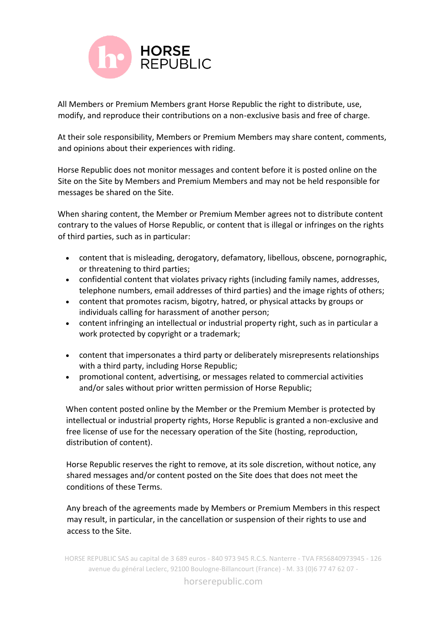

All Members or Premium Members grant Horse Republic the right to distribute, use, modify, and reproduce their contributions on a non-exclusive basis and free of charge.

At their sole responsibility, Members or Premium Members may share content, comments, and opinions about their experiences with riding.

Horse Republic does not monitor messages and content before it is posted online on the Site on the Site by Members and Premium Members and may not be held responsible for messages be shared on the Site.

When sharing content, the Member or Premium Member agrees not to distribute content contrary to the values of Horse Republic, or content that is illegal or infringes on the rights of third parties, such as in particular:

- content that is misleading, derogatory, defamatory, libellous, obscene, pornographic, or threatening to third parties;
- confidential content that violates privacy rights (including family names, addresses, telephone numbers, email addresses of third parties) and the image rights of others;
- content that promotes racism, bigotry, hatred, or physical attacks by groups or individuals calling for harassment of another person;
- content infringing an intellectual or industrial property right, such as in particular a work protected by copyright or a trademark;
- content that impersonates a third party or deliberately misrepresents relationships with a third party, including Horse Republic;
- promotional content, advertising, or messages related to commercial activities and/or sales without prior written permission of Horse Republic;

When content posted online by the Member or the Premium Member is protected by intellectual or industrial property rights, Horse Republic is granted a non-exclusive and free license of use for the necessary operation of the Site (hosting, reproduction, distribution of content).

Horse Republic reserves the right to remove, at its sole discretion, without notice, any shared messages and/or content posted on the Site does that does not meet the conditions of these Terms.

Any breach of the agreements made by Members or Premium Members in this respect may result, in particular, in the cancellation or suspension of their rights to use and access to the Site.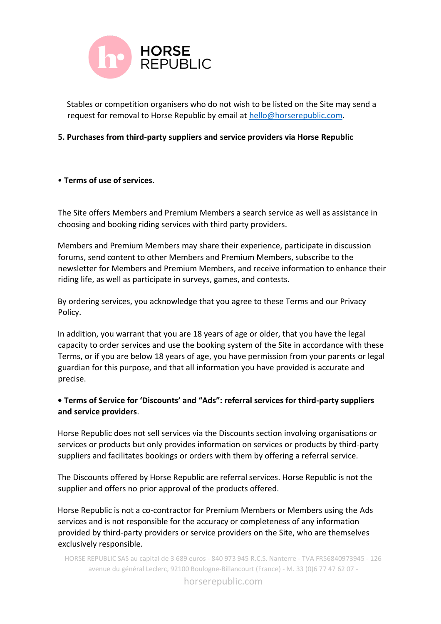

Stables or competition organisers who do not wish to be listed on the Site may send a request for removal to Horse Republic by email at [hello@horserepublic.com.](mailto:hello@horserepublic.com)

## **5. Purchases from third-party suppliers and service providers via Horse Republic**

## • **Terms of use of services.**

The Site offers Members and Premium Members a search service as well as assistance in choosing and booking riding services with third party providers.

Members and Premium Members may share their experience, participate in discussion forums, send content to other Members and Premium Members, subscribe to the newsletter for Members and Premium Members, and receive information to enhance their riding life, as well as participate in surveys, games, and contests.

By ordering services, you acknowledge that you agree to these Terms and our Privacy Policy.

In addition, you warrant that you are 18 years of age or older, that you have the legal capacity to order services and use the booking system of the Site in accordance with these Terms, or if you are below 18 years of age, you have permission from your parents or legal guardian for this purpose, and that all information you have provided is accurate and precise.

# **• Terms of Service for 'Discounts' and "Ads": referral services for third-party suppliers and service providers**.

Horse Republic does not sell services via the Discounts section involving organisations or services or products but only provides information on services or products by third-party suppliers and facilitates bookings or orders with them by offering a referral service.

The Discounts offered by Horse Republic are referral services. Horse Republic is not the supplier and offers no prior approval of the products offered.

Horse Republic is not a co-contractor for Premium Members or Members using the Ads services and is not responsible for the accuracy or completeness of any information provided by third-party providers or service providers on the Site, who are themselves exclusively responsible.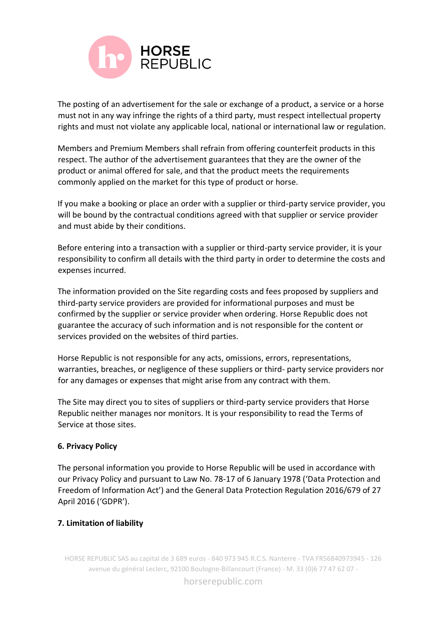

The posting of an advertisement for the sale or exchange of a product, a service or a horse must not in any way infringe the rights of a third party, must respect intellectual property rights and must not violate any applicable local, national or international law or regulation.

Members and Premium Members shall refrain from offering counterfeit products in this respect. The author of the advertisement guarantees that they are the owner of the product or animal offered for sale, and that the product meets the requirements commonly applied on the market for this type of product or horse.

If you make a booking or place an order with a supplier or third-party service provider, you will be bound by the contractual conditions agreed with that supplier or service provider and must abide by their conditions.

Before entering into a transaction with a supplier or third-party service provider, it is your responsibility to confirm all details with the third party in order to determine the costs and expenses incurred.

The information provided on the Site regarding costs and fees proposed by suppliers and third-party service providers are provided for informational purposes and must be confirmed by the supplier or service provider when ordering. Horse Republic does not guarantee the accuracy of such information and is not responsible for the content or services provided on the websites of third parties.

Horse Republic is not responsible for any acts, omissions, errors, representations, warranties, breaches, or negligence of these suppliers or third- party service providers nor for any damages or expenses that might arise from any contract with them.

The Site may direct you to sites of suppliers or third-party service providers that Horse Republic neither manages nor monitors. It is your responsibility to read the Terms of Service at those sites.

# **6. Privacy Policy**

The personal information you provide to Horse Republic will be used in accordance with our Privacy Policy and pursuant to Law No. 78-17 of 6 January 1978 ('Data Protection and Freedom of Information Act') and the General Data Protection Regulation 2016/679 of 27 April 2016 ('GDPR').

# **7. Limitation of liability**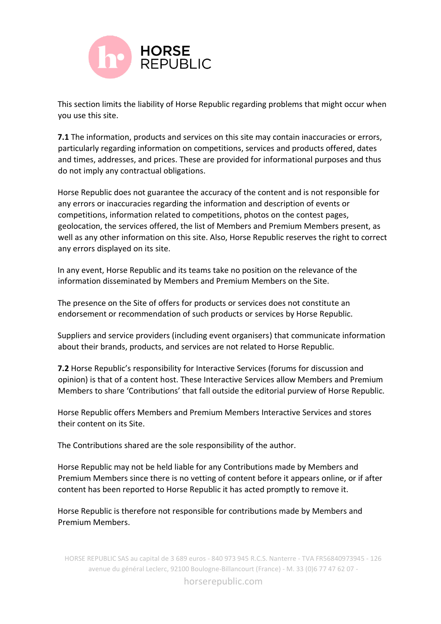

This section limits the liability of Horse Republic regarding problems that might occur when you use this site.

**7.1** The information, products and services on this site may contain inaccuracies or errors, particularly regarding information on competitions, services and products offered, dates and times, addresses, and prices. These are provided for informational purposes and thus do not imply any contractual obligations.

Horse Republic does not guarantee the accuracy of the content and is not responsible for any errors or inaccuracies regarding the information and description of events or competitions, information related to competitions, photos on the contest pages, geolocation, the services offered, the list of Members and Premium Members present, as well as any other information on this site. Also, Horse Republic reserves the right to correct any errors displayed on its site.

In any event, Horse Republic and its teams take no position on the relevance of the information disseminated by Members and Premium Members on the Site.

The presence on the Site of offers for products or services does not constitute an endorsement or recommendation of such products or services by Horse Republic.

Suppliers and service providers (including event organisers) that communicate information about their brands, products, and services are not related to Horse Republic.

**7.2** Horse Republic's responsibility for Interactive Services (forums for discussion and opinion) is that of a content host. These Interactive Services allow Members and Premium Members to share 'Contributions' that fall outside the editorial purview of Horse Republic.

Horse Republic offers Members and Premium Members Interactive Services and stores their content on its Site.

The Contributions shared are the sole responsibility of the author.

Horse Republic may not be held liable for any Contributions made by Members and Premium Members since there is no vetting of content before it appears online, or if after content has been reported to Horse Republic it has acted promptly to remove it.

Horse Republic is therefore not responsible for contributions made by Members and Premium Members.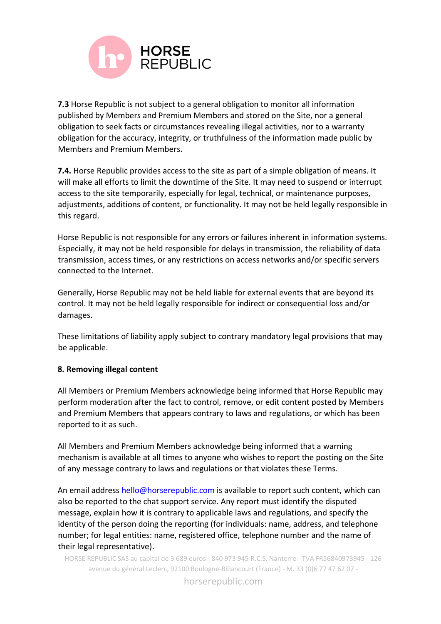

**7.3** Horse Republic is not subject to a general obligation to monitor all information published by Members and Premium Members and stored on the Site, nor a general obligation to seek facts or circumstances revealing illegal activities, nor to a warranty obligation for the accuracy, integrity, or truthfulness of the information made public by Members and Premium Members.

**7.4.** Horse Republic provides access to the site as part of a simple obligation of means. It will make all efforts to limit the downtime of the Site. It may need to suspend or interrupt access to the site temporarily, especially for legal, technical, or maintenance purposes, adjustments, additions of content, or functionality. It may not be held legally responsible in this regard.

Horse Republic is not responsible for any errors or failures inherent in information systems. Especially, it may not be held responsible for delays in transmission, the reliability of data transmission, access times, or any restrictions on access networks and/or specific servers connected to the Internet.

Generally, Horse Republic may not be held liable for external events that are beyond its control. It may not be held legally responsible for indirect or consequential loss and/or damages.

These limitations of liability apply subject to contrary mandatory legal provisions that may be applicable.

# **8. Removing illegal content**

All Members or Premium Members acknowledge being informed that Horse Republic may perform moderation after the fact to control, remove, or edit content posted by Members and Premium Members that appears contrary to laws and regulations, or which has been reported to it as such.

All Members and Premium Members acknowledge being informed that a warning mechanism is available at all times to anyone who wishes to report the posting on the Site of any message contrary to laws and regulations or that violates these Terms.

An email address hello@horserepublic.com is available to report such content, which can also be reported to the chat support service. Any report must identify the disputed message, explain how it is contrary to applicable laws and regulations, and specify the identity of the person doing the reporting (for individuals: name, address, and telephone number; for legal entities: name, registered office, telephone number and the name of their legal representative).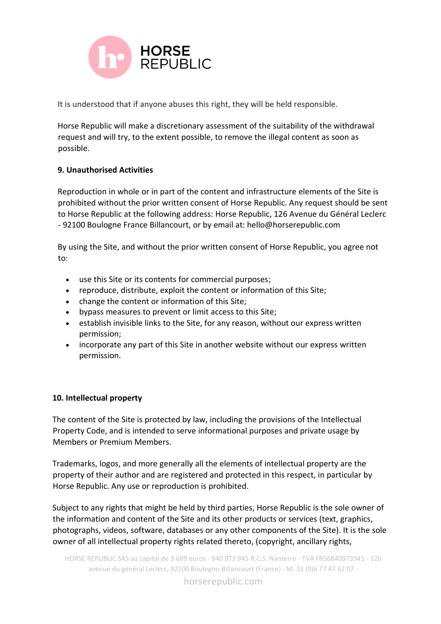

It is understood that if anyone abuses this right, they will be held responsible.

Horse Republic will make a discretionary assessment of the suitability of the withdrawal request and will try, to the extent possible, to remove the illegal content as soon as possible.

# **9. Unauthorised Activities**

Reproduction in whole or in part of the content and infrastructure elements of the Site is prohibited without the prior written consent of Horse Republic. Any request should be sent to Horse Republic at the following address: Horse Republic, 126 Avenue du Général Leclerc - 92100 Boulogne France Billancourt, or by email at: hello@horserepublic.com

By using the Site, and without the prior written consent of Horse Republic, you agree not to:

- use this Site or its contents for commercial purposes;
- reproduce, distribute, exploit the content or information of this Site;
- change the content or information of this Site;
- bypass measures to prevent or limit access to this Site;
- establish invisible links to the Site, for any reason, without our express written permission;
- incorporate any part of this Site in another website without our express written permission.

#### **10. Intellectual property**

The content of the Site is protected by law, including the provisions of the Intellectual Property Code, and is intended to serve informational purposes and private usage by Members or Premium Members.

Trademarks, logos, and more generally all the elements of intellectual property are the property of their author and are registered and protected in this respect, in particular by Horse Republic. Any use or reproduction is prohibited.

Subject to any rights that might be held by third parties, Horse Republic is the sole owner of the information and content of the Site and its other products or services (text, graphics, photographs, videos, software, databases or any other components of the Site). It is the sole owner of all intellectual property rights related thereto, (copyright, ancillary rights,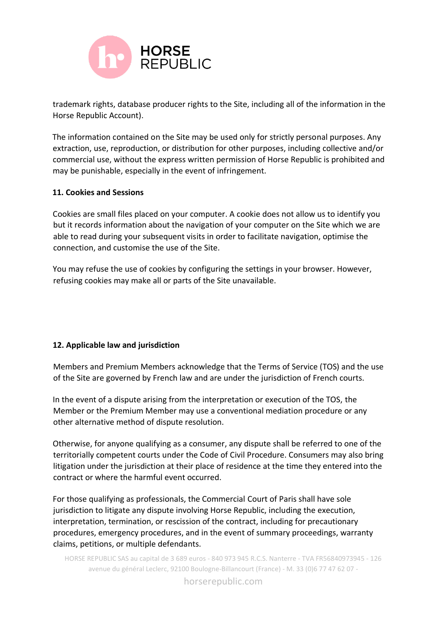

trademark rights, database producer rights to the Site, including all of the information in the Horse Republic Account).

The information contained on the Site may be used only for strictly personal purposes. Any extraction, use, reproduction, or distribution for other purposes, including collective and/or commercial use, without the express written permission of Horse Republic is prohibited and may be punishable, especially in the event of infringement.

## **11. Cookies and Sessions**

Cookies are small files placed on your computer. A cookie does not allow us to identify you but it records information about the navigation of your computer on the Site which we are able to read during your subsequent visits in order to facilitate navigation, optimise the connection, and customise the use of the Site.

You may refuse the use of cookies by configuring the settings in your browser. However, refusing cookies may make all or parts of the Site unavailable.

# **12. Applicable law and jurisdiction**

Members and Premium Members acknowledge that the Terms of Service (TOS) and the use of the Site are governed by French law and are under the jurisdiction of French courts.

In the event of a dispute arising from the interpretation or execution of the TOS, the Member or the Premium Member may use a conventional mediation procedure or any other alternative method of dispute resolution.

Otherwise, for anyone qualifying as a consumer, any dispute shall be referred to one of the territorially competent courts under the Code of Civil Procedure. Consumers may also bring litigation under the jurisdiction at their place of residence at the time they entered into the contract or where the harmful event occurred.

For those qualifying as professionals, the Commercial Court of Paris shall have sole jurisdiction to litigate any dispute involving Horse Republic, including the execution, interpretation, termination, or rescission of the contract, including for precautionary procedures, emergency procedures, and in the event of summary proceedings, warranty claims, petitions, or multiple defendants.